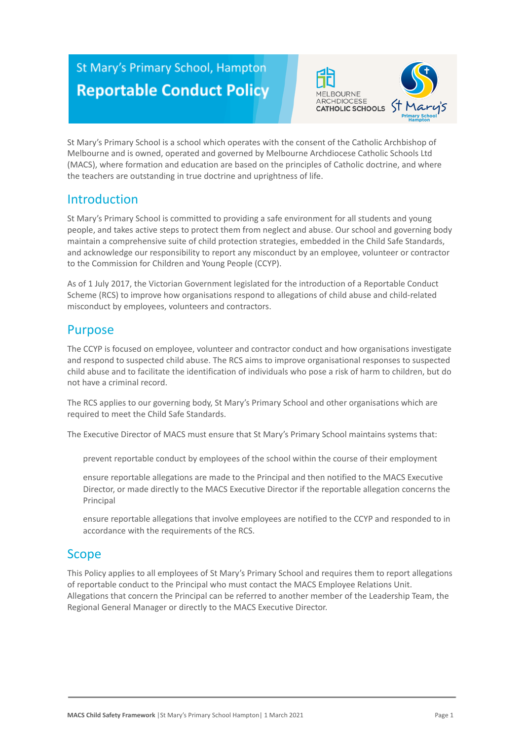# St Mary's Primary School, Hampton **Reportable Conduct Policy**



St Mary's Primary School is a school which operates with the consent of the Catholic Archbishop of Melbourne and is owned, operated and governed by Melbourne Archdiocese Catholic Schools Ltd (MACS), where formation and education are based on the principles of Catholic doctrine, and where the teachers are outstanding in true doctrine and uprightness of life.

# Introduction

St Mary's Primary School is committed to providing a safe environment for all students and young people, and takes active steps to protect them from neglect and abuse. Our school and governing body maintain a comprehensive suite of child protection strategies, embedded in the Child Safe Standards, and acknowledge our responsibility to report any misconduct by an employee, volunteer or contractor to the Commission for Children and Young People (CCYP).

As of 1 July 2017, the Victorian Government legislated for the introduction of a Reportable Conduct Scheme (RCS) to improve how organisations respond to allegations of child abuse and child-related misconduct by employees, volunteers and contractors.

## Purpose

The CCYP is focused on employee, volunteer and contractor conduct and how organisations investigate and respond to suspected child abuse. The RCS aims to improve organisational responses to suspected child abuse and to facilitate the identification of individuals who pose a risk of harm to children, but do not have a criminal record.

The RCS applies to our governing body, St Mary's Primary School and other organisations which are required to meet the Child Safe Standards.

The Executive Director of MACS must ensure that St Mary's Primary School maintains systems that:

prevent reportable conduct by employees of the school within the course of their employment

ensure reportable allegations are made to the Principal and then notified to the MACS Executive Director, or made directly to the MACS Executive Director if the reportable allegation concerns the Principal

ensure reportable allegations that involve employees are notified to the CCYP and responded to in accordance with the requirements of the RCS.

## Scope

This Policy applies to all employees of St Mary's Primary School and requires them to report allegations of reportable conduct to the Principal who must contact the MACS Employee Relations Unit. Allegations that concern the Principal can be referred to another member of the Leadership Team, the Regional General Manager or directly to the MACS Executive Director.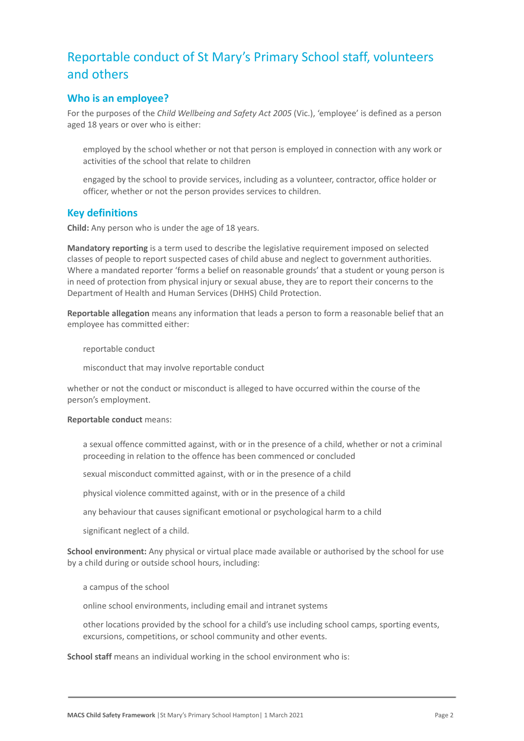# Reportable conduct of St Mary's Primary School staff, volunteers and others

## **Who is an employee?**

For the purposes of the *Child Wellbeing and Safety Act 2005* (Vic.), 'employee' is defined as a person aged 18 years or over who is either:

employed by the school whether or not that person is employed in connection with any work or activities of the school that relate to children

engaged by the school to provide services, including as a volunteer, contractor, office holder or officer, whether or not the person provides services to children.

## **Key definitions**

**Child:** Any person who is under the age of 18 years.

**Mandatory reporting** is a term used to describe the legislative requirement imposed on selected classes of people to report suspected cases of child abuse and neglect to government authorities. Where a mandated reporter 'forms a belief on reasonable grounds' that a student or young person is in need of protection from physical injury or sexual abuse, they are to report their concerns to the Department of Health and Human Services (DHHS) Child Protection.

**Reportable allegation** means any information that leads a person to form a reasonable belief that an employee has committed either:

reportable conduct

misconduct that may involve reportable conduct

whether or not the conduct or misconduct is alleged to have occurred within the course of the person's employment.

#### **Reportable conduct** means:

a sexual offence committed against, with or in the presence of a child, whether or not a criminal proceeding in relation to the offence has been commenced or concluded

sexual misconduct committed against, with or in the presence of a child

physical violence committed against, with or in the presence of a child

any behaviour that causes significant emotional or psychological harm to a child

significant neglect of a child.

**School environment:** Any physical or virtual place made available or authorised by the school for use by a child during or outside school hours, including:

a campus of the school

online school environments, including email and intranet systems

other locations provided by the school for a child's use including school camps, sporting events, excursions, competitions, or school community and other events.

**School staff** means an individual working in the school environment who is: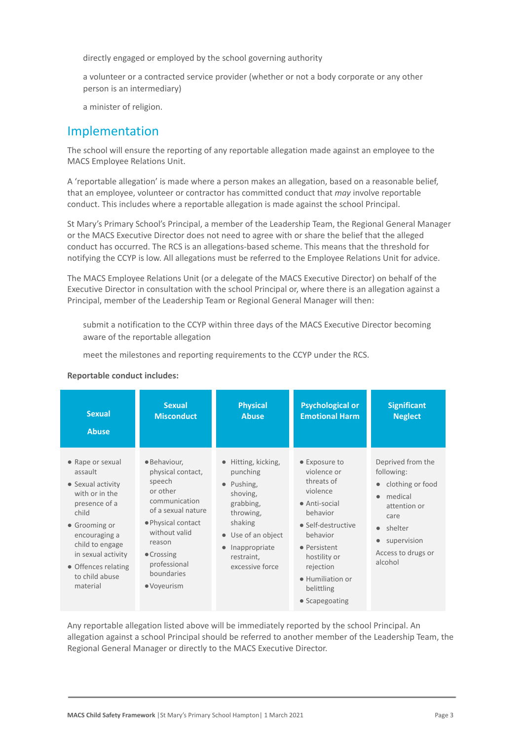directly engaged or employed by the school governing authority

a volunteer or a contracted service provider (whether or not a body corporate or any other person is an intermediary)

a minister of religion.

## Implementation

The school will ensure the reporting of any reportable allegation made against an employee to the MACS Employee Relations Unit.

A 'reportable allegation' is made where a person makes an allegation, based on a reasonable belief, that an employee, volunteer or contractor has committed conduct that *may* involve reportable conduct. This includes where a reportable allegation is made against the school Principal.

St Mary's Primary School's Principal, a member of the Leadership Team, the Regional General Manager or the MACS Executive Director does not need to agree with or share the belief that the alleged conduct has occurred. The RCS is an allegations-based scheme. This means that the threshold for notifying the CCYP is low. All allegations must be referred to the Employee Relations Unit for advice.

The MACS Employee Relations Unit (or a delegate of the MACS Executive Director) on behalf of the Executive Director in consultation with the school Principal or, where there is an allegation against a Principal, member of the Leadership Team or Regional General Manager will then:

submit a notification to the CCYP within three days of the MACS Executive Director becoming aware of the reportable allegation

meet the milestones and reporting requirements to the CCYP under the RCS.

#### **Reportable conduct includes:**

| <b>Sexual</b>                                                                                                                                                                                                                | <b>Sexual</b>                                                                                                                                                                                              | <b>Physical</b>                                                                                                                                                                | <b>Psychological or</b>                                                                                                                                                                                                        | <b>Significant</b>                                                                                                                                                            |
|------------------------------------------------------------------------------------------------------------------------------------------------------------------------------------------------------------------------------|------------------------------------------------------------------------------------------------------------------------------------------------------------------------------------------------------------|--------------------------------------------------------------------------------------------------------------------------------------------------------------------------------|--------------------------------------------------------------------------------------------------------------------------------------------------------------------------------------------------------------------------------|-------------------------------------------------------------------------------------------------------------------------------------------------------------------------------|
| <b>Abuse</b>                                                                                                                                                                                                                 | <b>Misconduct</b>                                                                                                                                                                                          | <b>Abuse</b>                                                                                                                                                                   | <b>Emotional Harm</b>                                                                                                                                                                                                          | <b>Neglect</b>                                                                                                                                                                |
| • Rape or sexual<br>assault<br>• Sexual activity<br>with or in the<br>presence of a<br>child<br>• Grooming or<br>encouraging a<br>child to engage<br>in sexual activity<br>• Offences relating<br>to child abuse<br>material | · Behaviour,<br>physical contact,<br>speech<br>or other<br>communication<br>of a sexual nature<br>• Physical contact<br>without valid<br>reason<br>• Crossing<br>professional<br>boundaries<br>• Voyeurism | • Hitting, kicking,<br>punching<br>$\bullet$ Pushing,<br>shoving,<br>grabbing,<br>throwing,<br>shaking<br>• Use of an object<br>Inappropriate<br>restraint,<br>excessive force | • Exposure to<br>violence or<br>threats of<br>violence<br>$\bullet$ Anti-social<br>behavior<br>• Self-destructive<br>behavior<br>• Persistent<br>hostility or<br>rejection<br>• Humiliation or<br>belittling<br>• Scapegoating | Deprived from the<br>following:<br>clothing or food<br>$\bullet$<br>medical<br>$\bullet$<br>attention or<br>care<br>• shelter<br>supervision<br>Access to drugs or<br>alcohol |

Any reportable allegation listed above will be immediately reported by the school Principal. An allegation against a school Principal should be referred to another member of the Leadership Team, the Regional General Manager or directly to the MACS Executive Director.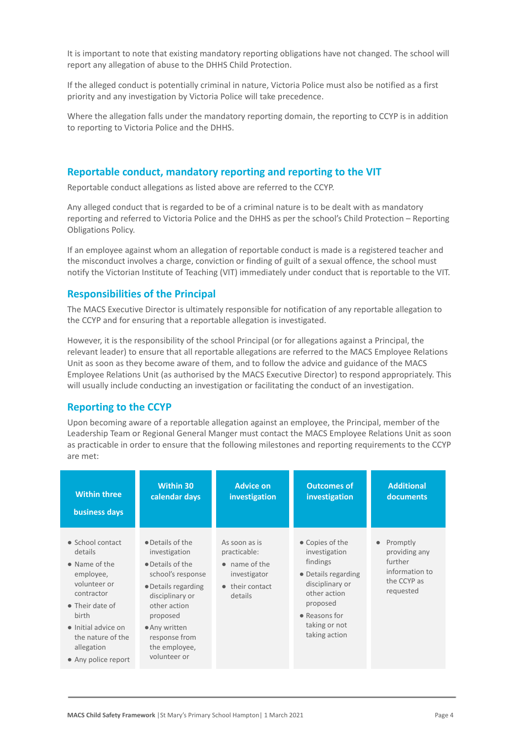It is important to note that existing mandatory reporting obligations have not changed. The school will report any allegation of abuse to the DHHS Child Protection.

If the alleged conduct is potentially criminal in nature, Victoria Police must also be notified as a first priority and any investigation by Victoria Police will take precedence.

Where the allegation falls under the mandatory reporting domain, the reporting to CCYP is in addition to reporting to Victoria Police and the DHHS.

## **Reportable conduct, mandatory reporting and reporting to the VIT**

Reportable conduct allegations as listed above are referred to the CCYP.

Any alleged conduct that is regarded to be of a criminal nature is to be dealt with as mandatory reporting and referred to Victoria Police and the DHHS as per the school's Child Protection – Reporting Obligations Policy.

If an employee against whom an allegation of reportable conduct is made is a registered teacher and the misconduct involves a charge, conviction or finding of guilt of a sexual offence, the school must notify the Victorian Institute of Teaching (VIT) immediately under conduct that is reportable to the VIT.

## **Responsibilities of the Principal**

The MACS Executive Director is ultimately responsible for notification of any reportable allegation to the CCYP and for ensuring that a reportable allegation is investigated.

However, it is the responsibility of the school Principal (or for allegations against a Principal, the relevant leader) to ensure that all reportable allegations are referred to the MACS Employee Relations Unit as soon as they become aware of them, and to follow the advice and guidance of the MACS Employee Relations Unit (as authorised by the MACS Executive Director) to respond appropriately. This will usually include conducting an investigation or facilitating the conduct of an investigation.

## **Reporting to the CCYP**

Upon becoming aware of a reportable allegation against an employee, the Principal, member of the Leadership Team or Regional General Manger must contact the MACS Employee Relations Unit as soon as practicable in order to ensure that the following milestones and reporting requirements to the CCYP are met:

| <b>Within three</b>                                                                                                                                                                                                  | <b>Within 30</b>                                                                                                                                                                                                    | <b>Advice on</b>                                                                                                | <b>Outcomes of</b>                                                                                                                                                    | <b>Additional</b>                                                                               |
|----------------------------------------------------------------------------------------------------------------------------------------------------------------------------------------------------------------------|---------------------------------------------------------------------------------------------------------------------------------------------------------------------------------------------------------------------|-----------------------------------------------------------------------------------------------------------------|-----------------------------------------------------------------------------------------------------------------------------------------------------------------------|-------------------------------------------------------------------------------------------------|
| business days                                                                                                                                                                                                        | calendar days                                                                                                                                                                                                       | investigation                                                                                                   | investigation                                                                                                                                                         | documents                                                                                       |
| • School contact<br>details<br>$\bullet$ Name of the<br>employee,<br>volunteer or<br>contractor<br>$\bullet$ Their date of<br>birth<br>• Initial advice on<br>the nature of the<br>allegation<br>• Any police report | • Details of the<br>investigation<br>• Details of the<br>school's response<br>• Details regarding<br>disciplinary or<br>other action<br>proposed<br>• Any written<br>response from<br>the employee,<br>volunteer or | As soon as is<br>practicable:<br>$\bullet$ name of the<br>investigator<br>their contact<br>$\bullet$<br>details | • Copies of the<br>investigation<br>findings<br>• Details regarding<br>disciplinary or<br>other action<br>proposed<br>• Reasons for<br>taking or not<br>taking action | Promptly<br>$\bullet$<br>providing any<br>further<br>information to<br>the CCYP as<br>requested |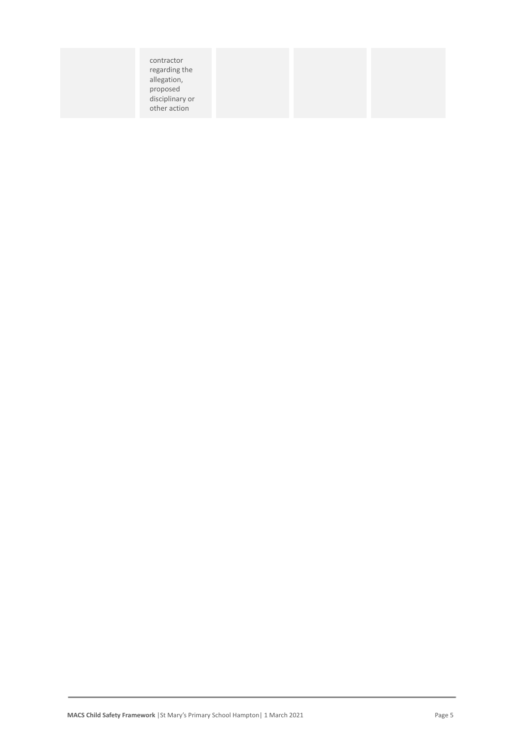|--|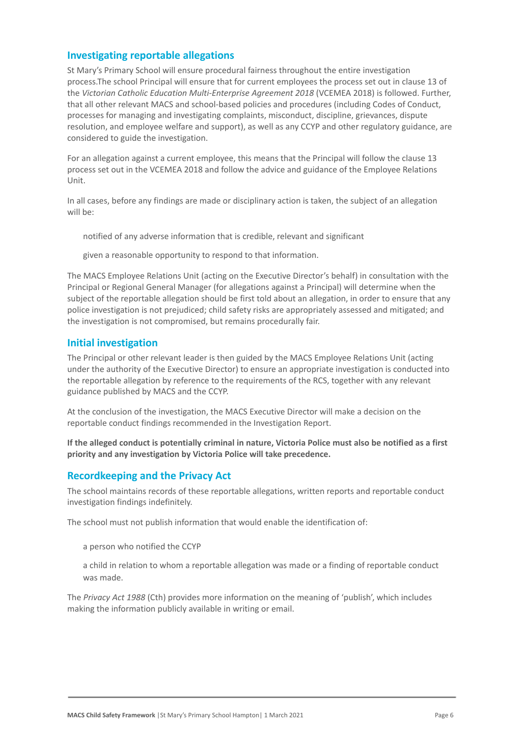## **Investigating reportable allegations**

St Mary's Primary School will ensure procedural fairness throughout the entire investigation process.The school Principal will ensure that for current employees the process set out in clause 13 of the *Victorian Catholic Education Multi-Enterprise Agreement 2018* (VCEMEA 2018) is followed. Further, that all other relevant MACS and school-based policies and procedures (including Codes of Conduct, processes for managing and investigating complaints, misconduct, discipline, grievances, dispute resolution, and employee welfare and support), as well as any CCYP and other regulatory guidance, are considered to guide the investigation.

For an allegation against a current employee, this means that the Principal will follow the clause 13 process set out in the VCEMEA 2018 and follow the advice and guidance of the Employee Relations Unit.

In all cases, before any findings are made or disciplinary action is taken, the subject of an allegation will be:

notified of any adverse information that is credible, relevant and significant

given a reasonable opportunity to respond to that information.

The MACS Employee Relations Unit (acting on the Executive Director's behalf) in consultation with the Principal or Regional General Manager (for allegations against a Principal) will determine when the subject of the reportable allegation should be first told about an allegation, in order to ensure that any police investigation is not prejudiced; child safety risks are appropriately assessed and mitigated; and the investigation is not compromised, but remains procedurally fair.

## **Initial investigation**

The Principal or other relevant leader is then guided by the MACS Employee Relations Unit (acting under the authority of the Executive Director) to ensure an appropriate investigation is conducted into the reportable allegation by reference to the requirements of the RCS, together with any relevant guidance published by MACS and the CCYP.

At the conclusion of the investigation, the MACS Executive Director will make a decision on the reportable conduct findings recommended in the Investigation Report.

**If the alleged conduct is potentially criminal in nature, Victoria Police must also be notified as a first priority and any investigation by Victoria Police will take precedence.**

## **Recordkeeping and the Privacy Act**

The school maintains records of these reportable allegations, written reports and reportable conduct investigation findings indefinitely.

The school must not publish information that would enable the identification of:

a person who notified the CCYP

a child in relation to whom a reportable allegation was made or a finding of reportable conduct was made.

The *Privacy Act 1988* (Cth) provides more information on the meaning of 'publish', which includes making the information publicly available in writing or email.